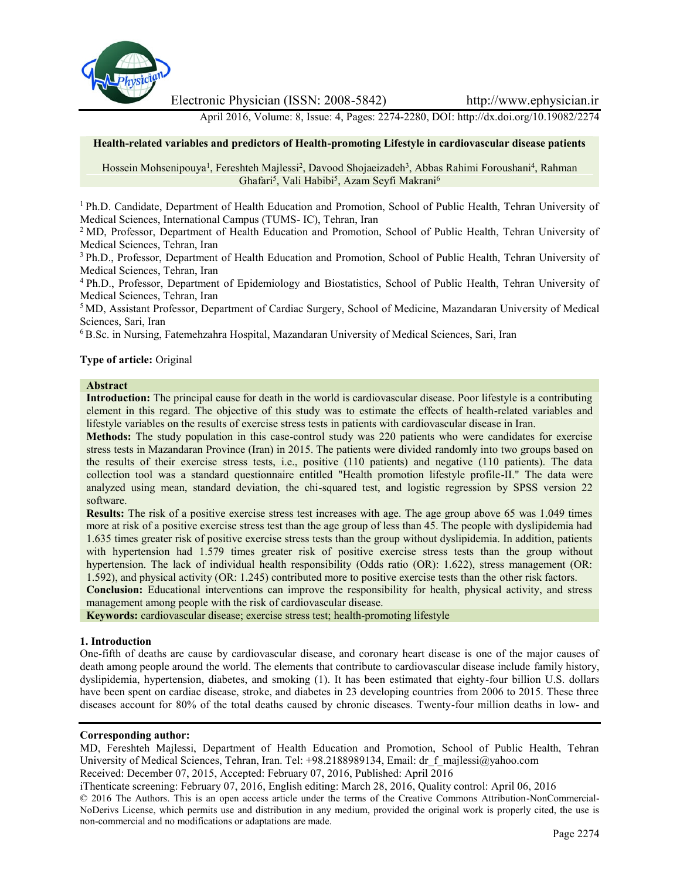

Electronic Physician (ISSN: 2008-5842) http://www.ephysician.ir

April 2016, Volume: 8, Issue: 4, Pages: 2274-2280, DOI: http://dx.doi.org/10.19082/2274

#### **Health-related variables and predictors of Health-promoting Lifestyle in cardiovascular disease patients**

Hossein Mohsenipouya<sup>1</sup>, Fereshteh Majlessi<sup>2</sup>, Davood Shojaeizadeh<sup>3</sup>, Abbas Rahimi Foroushani<sup>4</sup>, Rahman Ghafari<sup>5</sup>, Vali Habibi<sup>5</sup>, Azam Seyfi Makrani<sup>6</sup>

<sup>1</sup> Ph.D. Candidate, Department of Health Education and Promotion, School of Public Health, Tehran University of Medical Sciences, International Campus (TUMS- IC), Tehran, Iran

<sup>2</sup> MD, Professor, Department of Health Education and Promotion, School of Public Health, Tehran University of Medical Sciences, Tehran, Iran

<sup>3</sup> Ph.D., Professor, Department of Health Education and Promotion, School of Public Health, Tehran University of Medical Sciences, Tehran, Iran

<sup>4</sup> Ph.D., Professor, Department of Epidemiology and Biostatistics, School of Public Health, Tehran University of Medical Sciences, Tehran, Iran

<sup>5</sup> MD, Assistant Professor, Department of Cardiac Surgery, School of Medicine, Mazandaran University of Medical Sciences, Sari, Iran

<sup>6</sup> B.Sc. in Nursing, Fatemehzahra Hospital, Mazandaran University of Medical Sciences, Sari, Iran

#### **Type of article:** Original

# **Abstract**

**Introduction:** The principal cause for death in the world is cardiovascular disease. Poor lifestyle is a contributing element in this regard. The objective of this study was to estimate the effects of health-related variables and lifestyle variables on the results of exercise stress tests in patients with cardiovascular disease in Iran.

**Methods:** The study population in this case-control study was 220 patients who were candidates for exercise stress tests in Mazandaran Province (Iran) in 2015. The patients were divided randomly into two groups based on the results of their exercise stress tests, i.e., positive (110 patients) and negative (110 patients). The data collection tool was a standard questionnaire entitled "Health promotion lifestyle profile-II." The data were analyzed using mean, standard deviation, the chi-squared test, and logistic regression by SPSS version 22 software.

**Results:** The risk of a positive exercise stress test increases with age. The age group above 65 was 1.049 times more at risk of a positive exercise stress test than the age group of less than 45. The people with dyslipidemia had 1.635 times greater risk of positive exercise stress tests than the group without dyslipidemia. In addition, patients with hypertension had 1.579 times greater risk of positive exercise stress tests than the group without hypertension. The lack of individual health responsibility (Odds ratio (OR): 1.622), stress management (OR: 1.592), and physical activity (OR: 1.245) contributed more to positive exercise tests than the other risk factors.

**Conclusion:** Educational interventions can improve the responsibility for health, physical activity, and stress management among people with the risk of cardiovascular disease.

**Keywords:** cardiovascular disease; exercise stress test; health-promoting lifestyle

#### **1. Introduction**

One-fifth of deaths are cause by cardiovascular disease, and coronary heart disease is one of the major causes of death among people around the world. The elements that contribute to cardiovascular disease include family history, dyslipidemia, hypertension, diabetes, and smoking (1). It has been estimated that eighty-four billion U.S. dollars have been spent on cardiac disease, stroke, and diabetes in 23 developing countries from 2006 to 2015. These three diseases account for 80% of the total deaths caused by chronic diseases. Twenty-four million deaths in low- and

#### **Corresponding author:**

MD, Fereshteh Majlessi, Department of Health Education and Promotion, School of Public Health, Tehran University of Medical Sciences, Tehran, Iran. Tel: +98.2188989134, Email: dr\_f\_majlessi@yahoo.com

Received: December 07, 2015, Accepted: February 07, 2016, Published: April 2016

iThenticate screening: February 07, 2016, English editing: March 28, 2016, Quality control: April 06, 2016

© 2016 The Authors. This is an open access article under the terms of the Creative Commons Attribution-NonCommercial- NoDerivs License, which permits use and distribution in any medium, provided the original work is properly cited, the use is non-commercial and no modifications or adaptations are made.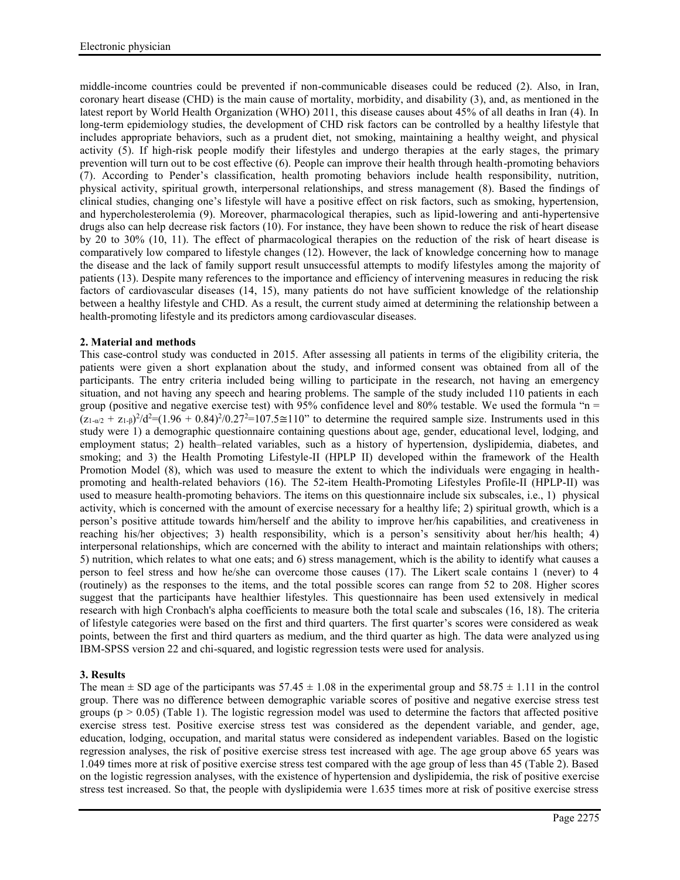middle-income countries could be prevented if non-communicable diseases could be reduced (2). Also, in Iran, coronary heart disease (CHD) is the main cause of mortality, morbidity, and disability (3), and, as mentioned in the latest report by World Health Organization (WHO) 2011, this disease causes about 45% of all deaths in Iran (4). In long-term epidemiology studies, the development of CHD risk factors can be controlled by a healthy lifestyle that includes appropriate behaviors, such as a prudent diet, not smoking, maintaining a healthy weight, and physical activity (5). If high-risk people modify their lifestyles and undergo therapies at the early stages, the primary prevention will turn out to be cost effective (6). People can improve their health through health-promoting behaviors (7). According to Pender's classification, health promoting behaviors include health responsibility, nutrition, physical activity, spiritual growth, interpersonal relationships, and stress management (8). Based the findings of clinical studies, changing one's lifestyle will have a positive effect on risk factors, such as smoking, hypertension, and hypercholesterolemia (9). Moreover, pharmacological therapies, such as lipid-lowering and anti-hypertensive drugs also can help decrease risk factors (10). For instance, they have been shown to reduce the risk of heart disease by 20 to 30% (10, 11). The effect of pharmacological therapies on the reduction of the risk of heart disease is comparatively low compared to lifestyle changes (12). However, the lack of knowledge concerning how to manage the disease and the lack of family support result unsuccessful attempts to modify lifestyles among the majority of patients (13). Despite many references to the importance and efficiency of intervening measures in reducing the risk factors of cardiovascular diseases (14, 15), many patients do not have sufficient knowledge of the relationship between a healthy lifestyle and CHD. As a result, the current study aimed at determining the relationship between a health-promoting lifestyle and its predictors among cardiovascular diseases.

# **2. Material and methods**

This case-control study was conducted in 2015. After assessing all patients in terms of the eligibility criteria, the patients were given a short explanation about the study, and informed consent was obtained from all of the participants. The entry criteria included being willing to participate in the research, not having an emergency situation, and not having any speech and hearing problems. The sample of the study included 110 patients in each group (positive and negative exercise test) with 95% confidence level and 80% testable. We used the formula " $n =$  $(z_{1-\alpha/2} + z_{1-\beta})^2/d^2 = (1.96 + 0.84)^2/0.27^2 = 107.5 \approx 110$ " to determine the required sample size. Instruments used in this study were 1) a demographic questionnaire containing questions about age, gender, educational level, lodging, and employment status; 2) health–related variables, such as a history of hypertension, dyslipidemia, diabetes, and smoking; and 3) the Health Promoting Lifestyle-II (HPLP II) developed within the framework of the Health Promotion Model (8), which was used to measure the extent to which the individuals were engaging in health promoting and health-related behaviors (16). The 52-item Health-Promoting Lifestyles Profile-II (HPLP-II) was used to measure health-promoting behaviors. The items on this questionnaire include six subscales, i.e., 1) physical activity, which is concerned with the amount of exercise necessary for a healthy life; 2) spiritual growth, which is a person's positive attitude towards him/herself and the ability to improve her/his capabilities, and creativeness in reaching his/her objectives; 3) health responsibility, which is a person's sensitivity about her/his health; 4) interpersonal relationships, which are concerned with the ability to interact and maintain relationships with others; 5) nutrition, which relates to what one eats; and 6) stress management, which is the ability to identify what causes a person to feel stress and how he/she can overcome those causes (17). The Likert scale contains 1 (never) to 4 (routinely) as the responses to the items, and the total possible scores can range from 52 to 208. Higher scores suggest that the participants have healthier lifestyles. This questionnaire has been used extensively in medical research with high Cronbach's alpha coefficients to measure both the total scale and subscales (16, 18). The criteria of lifestyle categories were based on the first and third quarters. The first quarter's scores were considered as weak points, between the first and third quarters as medium, and the third quarter as high. The data were analyzed using IBM-SPSS version 22 and chi-squared, and logistic regression tests were used for analysis.

# **3. Results**

The mean  $\pm$  SD age of the participants was 57.45  $\pm$  1.08 in the experimental group and 58.75  $\pm$  1.11 in the control group. There was no difference between demographic variable scores of positive and negative exercise stress test groups ( $p > 0.05$ ) (Table 1). The logistic regression model was used to determine the factors that affected positive exercise stress test. Positive exercise stress test was considered as the dependent variable, and gender, age, education, lodging, occupation, and marital status were considered as independent variables. Based on the logistic regression analyses, the risk of positive exercise stress test increased with age. The age group above 65 years was 1.049 times more at risk of positive exercise stress test compared with the age group of less than 45 (Table 2). Based on the logistic regression analyses, with the existence of hypertension and dyslipidemia, the risk of positive exercise stress test increased. So that, the people with dyslipidemia were 1.635 times more at risk of positive exercise stress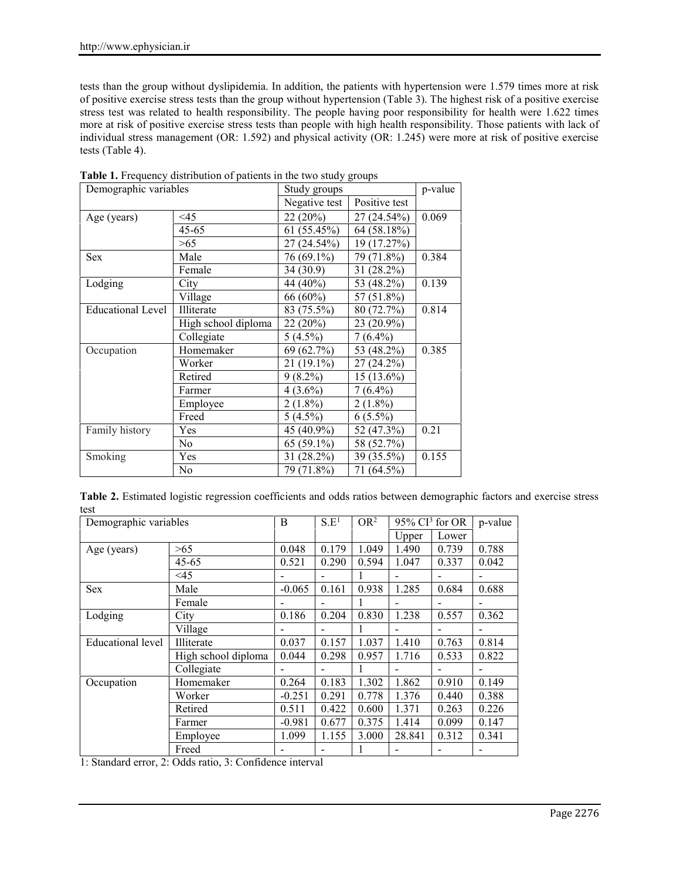tests than the group without dyslipidemia. In addition, the patients with hypertension were 1.579 times more at risk of positive exercise stress tests than the group without hypertension (Table 3). The highest risk of a positive exercise stress test was related to health responsibility. The people having poor responsibility for health were 1.622 times more at risk of positive exercise stress tests than people with high health responsibility. Those patients with lack of individual stress management (OR: 1.592) and physical activity (OR: 1.245) were more at risk of positive exercise tests (Table 4).

| Demographic variables    |                     | Study groups                   | p-value      |       |
|--------------------------|---------------------|--------------------------------|--------------|-------|
|                          |                     | Negative test<br>Positive test |              |       |
| Age (years)              | $\leq$ 45           | 22(20%)                        | 27 (24.54%)  | 0.069 |
|                          | 45-65               | 61(55.45%)                     | 64 (58.18%)  |       |
|                          | >65                 | 27 (24.54%)                    | 19 (17.27%)  |       |
| <b>Sex</b>               | Male                | 76 (69.1%)                     | 79 (71.8%)   | 0.384 |
|                          | Female              | 34(30.9)                       | $31(28.2\%)$ |       |
| Lodging                  | City                | 44 (40%)                       | 53 (48.2%)   | 0.139 |
|                          | Village             | $66(60\%)$                     | 57 (51.8%)   |       |
| <b>Educational Level</b> | Illiterate          | 83 (75.5%)                     | 80(72.7%)    | 0.814 |
|                          | High school diploma | 22(20%)                        | $23(20.9\%)$ |       |
|                          | Collegiate          | $5(4.5\%)$                     | $7(6.4\%)$   |       |
| Occupation               | Homemaker           | 69 (62.7%)                     | 53 (48.2%)   | 0.385 |
|                          | Worker              | $21(19.1\%)$                   | $27(24.2\%)$ |       |
|                          | Retired             | $9(8.2\%)$                     | $15(13.6\%)$ |       |
|                          | Farmer              | $4(3.6\%)$                     | $7(6.4\%)$   |       |
|                          | Employee            | $2(1.8\%)$                     | $2(1.8\%)$   |       |
|                          | Freed               | $5(4.5\%)$                     | $6(5.5\%)$   |       |
| Family history           | Yes                 | 45 (40.9%)                     | 52 (47.3%)   | 0.21  |
|                          | N <sub>0</sub>      | $65(59.1\%)$                   | 58 (52.7%)   |       |
| Smoking                  | Yes                 | 31 (28.2%)                     | 39 (35.5%)   | 0.155 |
|                          | N <sub>0</sub>      | 79 (71.8%)                     | 71 (64.5%)   |       |

**Table 1.** Frequency distribution of patients in the two study groups

|      |  |  | Table 2. Estimated logistic regression coefficients and odds ratios between demographic factors and exercise stress |
|------|--|--|---------------------------------------------------------------------------------------------------------------------|
| test |  |  |                                                                                                                     |

| Demographic variables |                     | B        | S.E <sup>1</sup> | OR <sup>2</sup> | $95\%$ CI <sup>3</sup> for OR |       | p-value |
|-----------------------|---------------------|----------|------------------|-----------------|-------------------------------|-------|---------|
|                       |                     |          |                  |                 | Upper                         | Lower |         |
| Age (years)           | >65                 | 0.048    | 0.179            | 1.049           | 1.490                         | 0.739 | 0.788   |
|                       | $45 - 65$           | 0.521    | 0.290            | 0.594           | 1.047                         | 0.337 | 0.042   |
|                       | $\leq$ 45           |          |                  |                 |                               |       |         |
| <b>Sex</b>            | Male                | $-0.065$ | 0.161            | 0.938           | 1.285                         | 0.684 | 0.688   |
|                       | Female              |          |                  |                 |                               |       |         |
| Lodging               | City                | 0.186    | 0.204            | 0.830           | 1.238                         | 0.557 | 0.362   |
|                       | Village             |          |                  |                 |                               |       |         |
| Educational level     | Illiterate          | 0.037    | 0.157            | 1.037           | 1.410                         | 0.763 | 0.814   |
|                       | High school diploma | 0.044    | 0.298            | 0.957           | 1.716                         | 0.533 | 0.822   |
|                       | Collegiate          |          |                  |                 |                               |       |         |
| Occupation            | Homemaker           | 0.264    | 0.183            | 1.302           | 1.862                         | 0.910 | 0.149   |
|                       | Worker              | $-0.251$ | 0.291            | 0.778           | 1.376                         | 0.440 | 0.388   |
|                       | Retired             | 0.511    | 0.422            | 0.600           | 1.371                         | 0.263 | 0.226   |
|                       | Farmer              | $-0.981$ | 0.677            | 0.375           | 1.414                         | 0.099 | 0.147   |
|                       | Employee            | 1.099    | 1.155            | 3.000           | 28.841                        | 0.312 | 0.341   |
|                       | Freed               |          |                  |                 |                               |       |         |

1: Standard error, 2: Odds ratio, 3: Confidence interval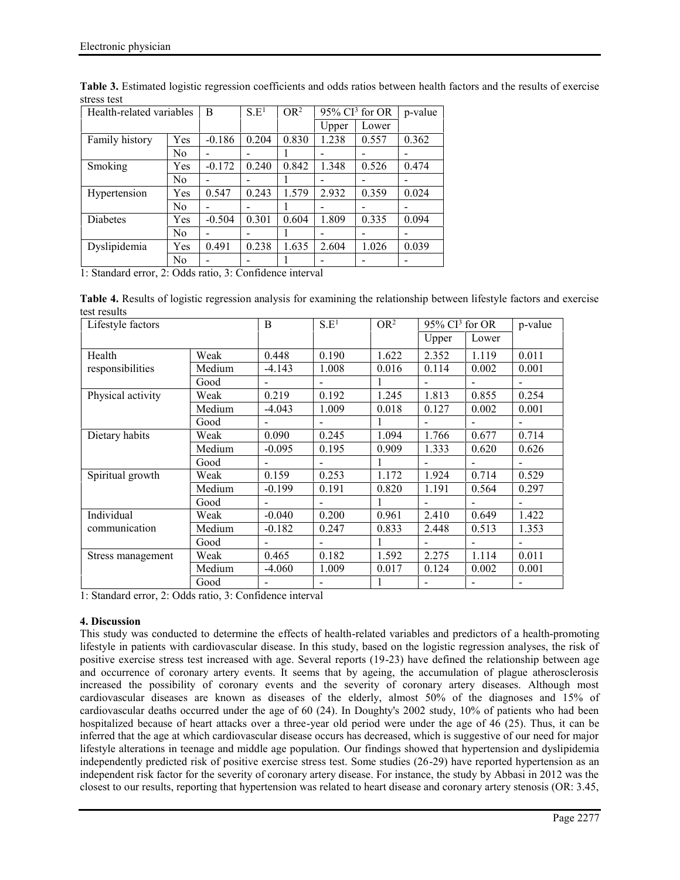| Health-related variables |                | B        | S.E <sup>1</sup> | OR <sup>2</sup> | $95\%$ CI <sup>3</sup> for OR |       | p-value |
|--------------------------|----------------|----------|------------------|-----------------|-------------------------------|-------|---------|
|                          |                |          |                  |                 | Upper                         | Lower |         |
| Family history           | Yes            | $-0.186$ | 0.204            | 0.830           | 1.238                         | 0.557 | 0.362   |
|                          | N <sub>0</sub> | -        |                  |                 |                               |       |         |
| Smoking                  | Yes            | $-0.172$ | 0.240            | 0.842           | 1.348                         | 0.526 | 0.474   |
|                          | N <sub>0</sub> | -        |                  |                 |                               |       |         |
| Hypertension             | Yes            | 0.547    | 0.243            | 1.579           | 2.932                         | 0.359 | 0.024   |
|                          | N <sub>0</sub> |          |                  |                 |                               |       |         |
| Diabetes                 | Yes            | $-0.504$ | 0.301            | 0.604           | 1.809                         | 0.335 | 0.094   |
|                          | N <sub>0</sub> | -        |                  |                 |                               |       |         |
| Dyslipidemia             | Yes            | 0.491    | 0.238            | 1.635           | 2.604                         | 1.026 | 0.039   |
|                          | N <sub>0</sub> | -        |                  |                 |                               |       |         |

**Table 3.** Estimated logistic regression coefficients and odds ratios between health factors and the results of exercise stress test

1: Standard error, 2: Odds ratio, 3: Confidence interval

**Table 4.** Results of logistic regression analysis for examining the relationship between lifestyle factors and exercise test results

| Lifestyle factors |        | B                        | S.E <sup>1</sup>         | OR <sup>2</sup> | $95\%$ CI <sup>3</sup> for OR |       | p-value        |
|-------------------|--------|--------------------------|--------------------------|-----------------|-------------------------------|-------|----------------|
|                   |        |                          |                          |                 | Upper                         | Lower |                |
| Health            | Weak   | 0.448                    | 0.190                    | 1.622           | 2.352                         | 1.119 | 0.011          |
| responsibilities  | Medium | $-4.143$                 | 1.008                    | 0.016           | 0.114                         | 0.002 | 0.001          |
|                   | Good   | $\overline{\phantom{a}}$ | $\overline{\phantom{0}}$ | 1               | $\overline{\phantom{a}}$      |       |                |
| Physical activity | Weak   | 0.219                    | 0.192                    | 1.245           | 1.813                         | 0.855 | 0.254          |
|                   | Medium | $-4.043$                 | 1.009                    | 0.018           | 0.127                         | 0.002 | 0.001          |
|                   | Good   | $\overline{\phantom{a}}$ | $\blacksquare$           |                 | ۰                             |       |                |
| Dietary habits    | Weak   | 0.090                    | 0.245                    | 1.094           | 1.766                         | 0.677 | 0.714          |
|                   | Medium | $-0.095$                 | 0.195                    | 0.909           | 1.333                         | 0.620 | 0.626          |
|                   | Good   | $\overline{\phantom{a}}$ | $\blacksquare$           | 1               | $\overline{\phantom{a}}$      |       | $\blacksquare$ |
| Spiritual growth  | Weak   | 0.159                    | 0.253                    | 1.172           | 1.924                         | 0.714 | 0.529          |
|                   | Medium | $-0.199$                 | 0.191                    | 0.820           | 1.191                         | 0.564 | 0.297          |
|                   | Good   | $\overline{\phantom{a}}$ | $\overline{\phantom{a}}$ |                 |                               |       |                |
| Individual        | Weak   | $-0.040$                 | 0.200                    | 0.961           | 2.410                         | 0.649 | 1.422          |
| communication     | Medium | $-0.182$                 | 0.247                    | 0.833           | 2.448                         | 0.513 | 1.353          |
|                   | Good   | $\overline{\phantom{a}}$ | $\overline{\phantom{a}}$ | 1               | $\overline{\phantom{a}}$      |       |                |
| Stress management | Weak   | 0.465                    | 0.182                    | 1.592           | 2.275                         | 1.114 | 0.011          |
|                   | Medium | $-4.060$                 | 1.009                    | 0.017           | 0.124                         | 0.002 | 0.001          |
|                   | Good   |                          |                          | 1               |                               |       |                |

1: Standard error, 2: Odds ratio, 3: Confidence interval

# **4. Discussion**

This study was conducted to determine the effects of health-related variables and predictors of a health-promoting lifestyle in patients with cardiovascular disease. In this study, based on the logistic regression analyses, the risk of positive exercise stress test increased with age. Several reports (19-23) have defined the relationship between age and occurrence of coronary artery events. It seems that by ageing, the accumulation of plague atherosclerosis increased the possibility of coronary events and the severity of coronary artery diseases. Although most cardiovascular diseases are known as diseases of the elderly, almost 50% of the diagnoses and 15% of cardiovascular deaths occurred under the age of 60 (24). In Doughty's 2002 study, 10% of patients who had been hospitalized because of heart attacks over a three-year old period were under the age of 46 (25). Thus, it can be inferred that the age at which cardiovascular disease occurs has decreased, which is suggestive of our need for major lifestyle alterations in teenage and middle age population. Our findings showed that hypertension and dyslipidemia independently predicted risk of positive exercise stress test. Some studies (26-29) have reported hypertension as an independent risk factor for the severity of coronary artery disease. For instance, the study by Abbasi in 2012 was the closest to our results, reporting that hypertension was related to heart disease and coronary artery stenosis (OR: 3.45,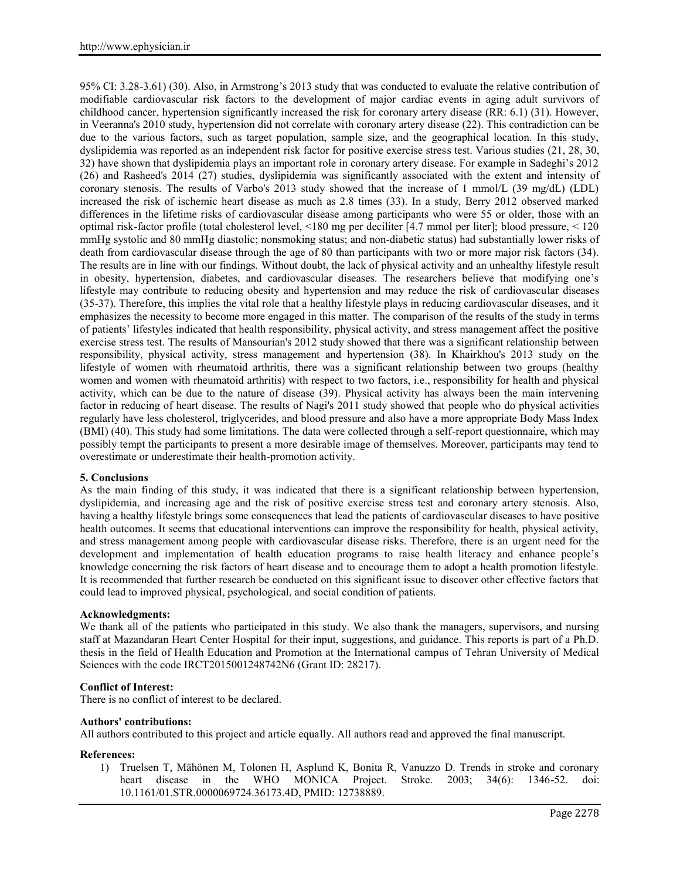95% CI: 3.28-3.61) (30). Also, in Armstrong's 2013 study that was conducted to evaluate the relative contribution of modifiable cardiovascular risk factors to the development of major cardiac events in aging adult survivors of childhood cancer, hypertension significantly increased the risk for coronary artery disease (RR: 6.1) (31). However, in Veeranna's 2010 study, hypertension did not correlate with coronary artery disease (22). This contradiction can be due to the various factors, such as target population, sample size, and the geographical location. In this study, dyslipidemia was reported as an independent risk factor for positive exercise stress test. Various studies (21, 28, 30, 32) have shown that dyslipidemia plays an important role in coronary artery disease. For example in Sadeghi's 2012 (26) and Rasheed's 2014 (27) studies, dyslipidemia was significantly associated with the extent and intensity of coronary stenosis. The results of Varbo's 2013 study showed that the increase of 1 mmol/L (39 mg/dL) (LDL) increased the risk of ischemic heart disease as much as 2.8 times (33). In a study, Berry 2012 observed marked differences in the lifetime risks of cardiovascular disease among participants who were 55 or older, those with an optimal risk-factor profile (total cholesterol level, <180 mg per deciliter [4.7 mmol per liter]; blood pressure, < 120 mmHg systolic and 80 mmHg diastolic; nonsmoking status; and non-diabetic status) had substantially lower risks of death from cardiovascular disease through the age of 80 than participants with two or more major risk factors (34). The results are in line with our findings. Without doubt, the lack of physical activity and an unhealthy lifestyle result in obesity, hypertension, diabetes, and cardiovascular diseases. The researchers believe that modifying one's lifestyle may contribute to reducing obesity and hypertension and may reduce the risk of cardiovascular diseases (35-37). Therefore, this implies the vital role that a healthy lifestyle plays in reducing cardiovascular diseases, and it emphasizes the necessity to become more engaged in this matter. The comparison of the results of the study in terms of patients' lifestyles indicated that health responsibility, physical activity, and stress management affect the positive exercise stress test. The results of Mansourian's 2012 study showed that there was a significant relationship between responsibility, physical activity, stress management and hypertension (38). In Khairkhou's 2013 study on the lifestyle of women with rheumatoid arthritis, there was a significant relationship between two groups (healthy women and women with rheumatoid arthritis) with respect to two factors, i.e., responsibility for health and physical activity, which can be due to the nature of disease (39). Physical activity has always been the main intervening factor in reducing of heart disease. The results of Nagi's 2011 study showed that people who do physical activities regularly have less cholesterol, triglycerides, and blood pressure and also have a more appropriate Body Mass Index (BMI) (40). This study had some limitations. The data were collected through a self-report questionnaire, which may possibly tempt the participants to present a more desirable image of themselves. Moreover, participants may tend to overestimate or underestimate their health-promotion activity.

# **5. Conclusions**

As the main finding of this study, it was indicated that there is a significant relationship between hypertension, dyslipidemia, and increasing age and the risk of positive exercise stress test and coronary artery stenosis. Also, having a healthy lifestyle brings some consequences that lead the patients of cardiovascular diseases to have positive health outcomes. It seems that educational interventions can improve the responsibility for health, physical activity, and stress management among people with cardiovascular disease risks. Therefore, there is an urgent need for the development and implementation of health education programs to raise health literacy and enhance people's knowledge concerning the risk factors of heart disease and to encourage them to adopt a health promotion lifestyle. It is recommended that further research be conducted on this significant issue to discover other effective factors that could lead to improved physical, psychological, and social condition of patients.

# **Acknowledgments:**

We thank all of the patients who participated in this study. We also thank the managers, supervisors, and nursing staff at Mazandaran Heart Center Hospital for their input, suggestions, and guidance. This reports is part of a Ph.D. thesis in the field of Health Education and Promotion at the International campus of Tehran University of Medical Sciences with the code IRCT2015001248742N6 (Grant ID: 28217).

# **Conflict of Interest:**

There is no conflict of interest to be declared.

# **Authors' contributions:**

All authors contributed to this project and article equally. All authors read and approved the final manuscript.

# **References:**

1) Truelsen T, Mähönen M, Tolonen H, Asplund K, Bonita R, Vanuzzo D. Trends in stroke and coronary heart disease in the WHO MONICA Project. Stroke. 2003; 34(6): 1346-52. doi: MONICA Project. Stroke. 2003; 34(6): 1346-52. doi: 10.1161/01.STR.0000069724.36173.4D, PMID: 12738889.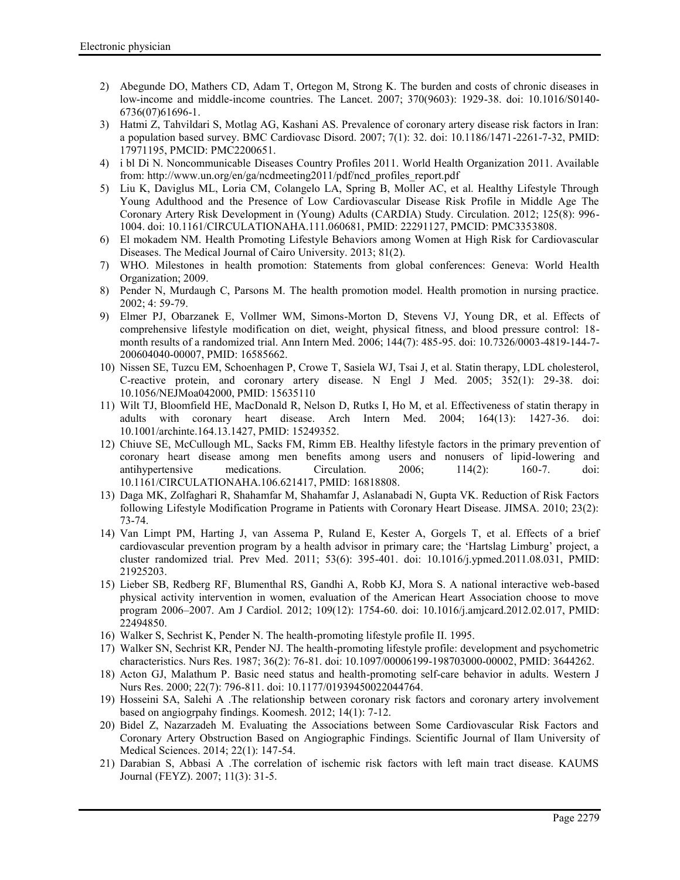- 2) Abegunde DO, Mathers CD, Adam T, Ortegon M, Strong K. The burden and costs of chronic diseases in low-income and middle-income countries. The Lancet. 2007; 370(9603): 1929-38. doi: 10.1016/S0140- 6736(07)61696-1.
- 3) Hatmi Z, Tahvildari S, Motlag AG, Kashani AS. Prevalence of coronary artery disease risk factors in Iran: a population based survey. BMC Cardiovasc Disord. 2007; 7(1): 32. doi: 10.1186/1471-2261-7-32, PMID: 17971195, PMCID: PMC2200651.
- 4) i bl Di N. Noncommunicable Diseases Country Profiles 2011. World Health Organization 2011. Available from: http://www.un.org/en/ga/ncdmeeting2011/pdf/ncd\_profiles\_report.pdf
- 5) Liu K, Daviglus ML, Loria CM, Colangelo LA, Spring B, Moller AC, et al. Healthy Lifestyle Through Young Adulthood and the Presence of Low Cardiovascular Disease Risk Profile in Middle Age The Coronary Artery Risk Development in (Young) Adults (CARDIA) Study. Circulation. 2012; 125(8): 996- 1004. doi: 10.1161/CIRCULATIONAHA.111.060681, PMID: 22291127, PMCID: PMC3353808.
- 6) El mokadem NM. Health Promoting Lifestyle Behaviors among Women at High Risk for Cardiovascular Diseases. The Medical Journal of Cairo University. 2013; 81(2).
- 7) WHO. Milestones in health promotion: Statements from global conferences: Geneva: World Health Organization; 2009.
- 8) Pender N, Murdaugh C, Parsons M. The health promotion model. Health promotion in nursing practice. 2002; 4: 59-79.
- 9) Elmer PJ, Obarzanek E, Vollmer WM, Simons-Morton D, Stevens VJ, Young DR, et al. Effects of comprehensive lifestyle modification on diet, weight, physical fitness, and blood pressure control: 18 month results of a randomized trial. Ann Intern Med. 2006; 144(7): 485-95. doi: 10.7326/0003-4819-144-7- 200604040-00007, PMID: 16585662.
- 10) Nissen SE, Tuzcu EM, Schoenhagen P, Crowe T, Sasiela WJ, Tsai J, et al. Statin therapy, LDL cholesterol, C-reactive protein, and coronary artery disease. N Engl J Med. 2005; 352(1): 29-38. doi: 10.1056/NEJMoa042000, PMID: 15635110
- 11) Wilt TJ, Bloomfield HE, MacDonald R, Nelson D, Rutks I, Ho M, et al. Effectiveness of statin therapy in adults with coronary heart disease. Arch Intern Med. 2004; 164(13): 1427-36. doi: 10.1001/archinte.164.13.1427, PMID: 15249352.
- 12) Chiuve SE, McCullough ML, Sacks FM, Rimm EB. Healthy lifestyle factors in the primary prevention of coronary heart disease among men benefits among users and nonusers of lipid-lowering and antihypertensive medications. Circulation. 2006; 114(2): 160-7. doi: 10.1161/CIRCULATIONAHA.106.621417, PMID: 16818808.
- 13) Daga MK, Zolfaghari R, Shahamfar M, Shahamfar J, Aslanabadi N, Gupta VK. Reduction of Risk Factors following Lifestyle Modification Programe in Patients with Coronary Heart Disease. JIMSA. 2010; 23(2): 73-74.
- 14) Van Limpt PM, Harting J, van Assema P, Ruland E, Kester A, Gorgels T, et al. Effects of a brief cardiovascular prevention program by a health advisor in primary care; the 'Hartslag Limburg' project, a cluster randomized trial. Prev Med. 2011; 53(6): 395-401. doi: 10.1016/j.ypmed.2011.08.031, PMID: 21925203.
- 15) Lieber SB, Redberg RF, Blumenthal RS, Gandhi A, Robb KJ, Mora S. A national interactive web-based physical activity intervention in women, evaluation of the American Heart Association choose to move program 2006–2007. Am J Cardiol. 2012; 109(12): 1754-60. doi: 10.1016/j.amjcard.2012.02.017, PMID: 22494850.
- 16) Walker S, Sechrist K, Pender N. The health-promoting lifestyle profile II. 1995.
- 17) Walker SN, Sechrist KR, Pender NJ. The health-promoting lifestyle profile: development and psychometric characteristics. Nurs Res. 1987; 36(2): 76-81. doi: 10.1097/00006199-198703000-00002, PMID: 3644262.
- 18) Acton GJ, Malathum P. Basic need status and health-promoting self-care behavior in adults. Western J Nurs Res. 2000; 22(7): 796-811. doi: 10.1177/01939450022044764.
- 19) Hosseini SA, Salehi A .The relationship between coronary risk factors and coronary artery involvement based on angiogrpahy findings. Koomesh. 2012; 14(1): 7-12.
- 20) Bidel Z, Nazarzadeh M. Evaluating the Associations between Some Cardiovascular Risk Factors and Coronary Artery Obstruction Based on Angiographic Findings. Scientific Journal of Ilam University of Medical Sciences. 2014; 22(1): 147-54.
- 21) Darabian S, Abbasi A .The correlation of ischemic risk factors with left main tract disease. KAUMS Journal (FEYZ). 2007; 11(3): 31-5.